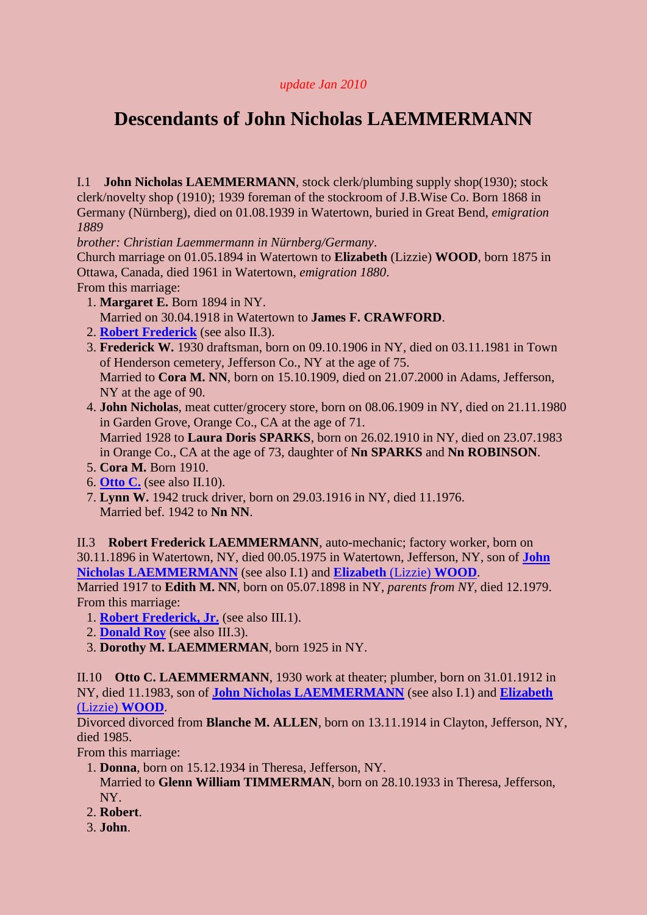## <span id="page-0-3"></span>*update Jan 2010*

## **Descendants of John Nicholas LAEMMERMANN**

<span id="page-0-2"></span>I.1 **John Nicholas LAEMMERMANN**, stock clerk/plumbing supply shop(1930); stock clerk/novelty shop (1910); 1939 foreman of the stockroom of J.B.Wise Co. Born 1868 in Germany (Nürnberg), died on 01.08.1939 in Watertown, buried in Great Bend, *emigration 1889*

*brother: Christian Laemmermann in Nürnberg/Germany*.

Church marriage on 01.05.1894 in Watertown to **Elizabeth** (Lizzie) **WOOD**, born 1875 in Ottawa, Canada, died 1961 in Watertown, *emigration 1880*. From this marriage:

- 1. **Margaret E.** Born 1894 in NY.
	- Married on 30.04.1918 in Watertown to **James F. CRAWFORD**.
- 2. **[Robert Frederick](#page-0-0)** (see also II.3).
- 3. **Frederick W.** 1930 draftsman, born on 09.10.1906 in NY, died on 03.11.1981 in Town of Henderson cemetery, Jefferson Co., NY at the age of 75. Married to **Cora M. NN**, born on 15.10.1909, died on 21.07.2000 in Adams, Jefferson, NY at the age of 90.
- 4. **John Nicholas**, meat cutter/grocery store, born on 08.06.1909 in NY, died on 21.11.1980 in Garden Grove, Orange Co., CA at the age of 71. Married 1928 to **Laura Doris SPARKS**, born on 26.02.1910 in NY, died on 23.07.1983 in Orange Co., CA at the age of 73, daughter of **Nn SPARKS** and **Nn ROBINSON**.
- 5. **Cora M.** Born 1910.
- 6. **[Otto C.](#page-0-1)** (see also II.10).
- 7. **Lynn W.** 1942 truck driver, born on 29.03.1916 in NY, died 11.1976. Married bef. 1942 to **Nn NN**.

<span id="page-0-0"></span>II.3 **Robert Frederick LAEMMERMANN**, auto-mechanic; factory worker, born on 30.11.1896 in Watertown, NY, died 00.05.1975 in Watertown, Jefferson, NY, son of **[John](#page-0-2)  [Nicholas LAEMMERMANN](#page-0-2)** (see also I.1) and **[Elizabeth](#page-0-3)** (Lizzie) **WOOD**. Married 1917 to **Edith M. NN**, born on 05.07.1898 in NY, *parents from NY*, died 12.1979. From this marriage:

<span id="page-0-4"></span>1. **[Robert Frederick, Jr.](#page-1-0)** (see also III.1).

- 2. **[Donald Roy](#page-1-1)** (see also III.3).
- 3. **Dorothy M. LAEMMERMAN**, born 1925 in NY.

<span id="page-0-1"></span>II.10 **Otto C. LAEMMERMANN**, 1930 work at theater; plumber, born on 31.01.1912 in NY, died 11.1983, son of **[John Nicholas LAEMMERMANN](#page-0-2)** (see also I.1) and **[Elizabeth](#page-0-3)** (Lizzie) **[WOOD](#page-0-3)**.

Divorced divorced from **Blanche M. ALLEN**, born on 13.11.1914 in Clayton, Jefferson, NY, died 1985.

From this marriage:

- 1. **Donna**, born on 15.12.1934 in Theresa, Jefferson, NY.
- Married to **Glenn William TIMMERMAN**, born on 28.10.1933 in Theresa, Jefferson, NY.
- 2. **Robert**.
- 3. **John**.